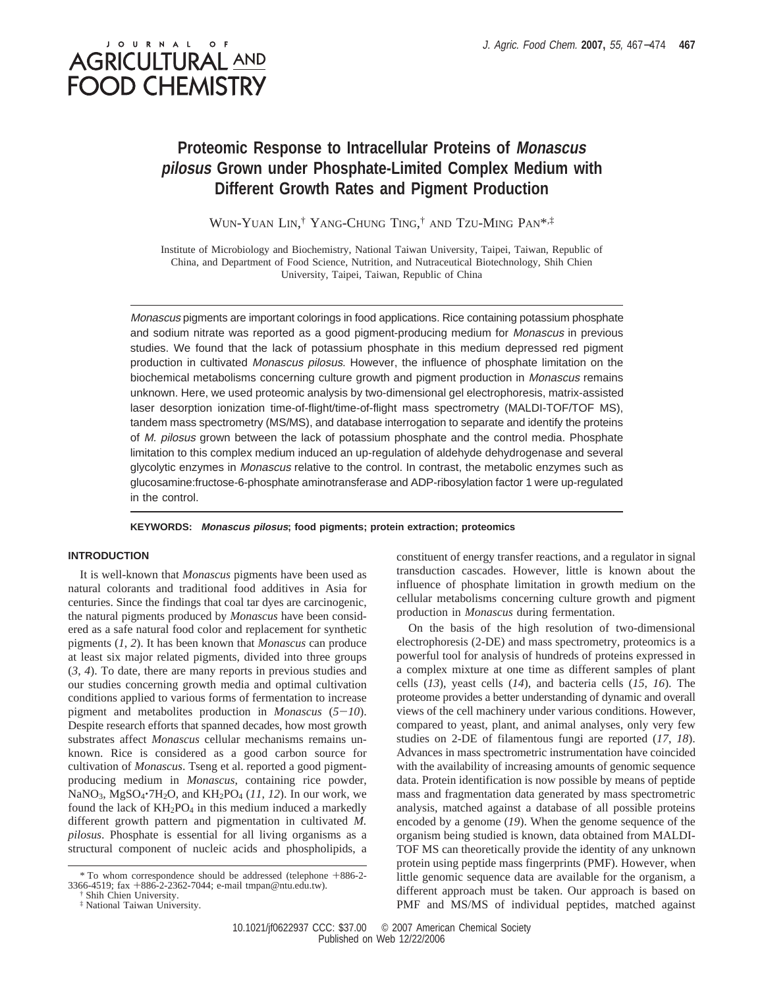# J O U R N A L **AGRICULTURAL AND FOOD CHEMISTRY**

## **Proteomic Response to Intracellular Proteins of Monascus pilosus Grown under Phosphate-Limited Complex Medium with Different Growth Rates and Pigment Production**

WUN-YUAN LIN, † YANG-CHUNG TING, † AND TZU-MING PAN\*,‡

Institute of Microbiology and Biochemistry, National Taiwan University, Taipei, Taiwan, Republic of China, and Department of Food Science, Nutrition, and Nutraceutical Biotechnology, Shih Chien University, Taipei, Taiwan, Republic of China

Monascus pigments are important colorings in food applications. Rice containing potassium phosphate and sodium nitrate was reported as a good pigment-producing medium for Monascus in previous studies. We found that the lack of potassium phosphate in this medium depressed red pigment production in cultivated Monascus pilosus. However, the influence of phosphate limitation on the biochemical metabolisms concerning culture growth and pigment production in Monascus remains unknown. Here, we used proteomic analysis by two-dimensional gel electrophoresis, matrix-assisted laser desorption ionization time-of-flight/time-of-flight mass spectrometry (MALDI-TOF/TOF MS), tandem mass spectrometry (MS/MS), and database interrogation to separate and identify the proteins of M. pilosus grown between the lack of potassium phosphate and the control media. Phosphate limitation to this complex medium induced an up-regulation of aldehyde dehydrogenase and several glycolytic enzymes in Monascus relative to the control. In contrast, the metabolic enzymes such as glucosamine:fructose-6-phosphate aminotransferase and ADP-ribosylation factor 1 were up-regulated in the control.

#### **KEYWORDS: Monascus pilosus; food pigments; protein extraction; proteomics**

### **INTRODUCTION**

It is well-known that *Monascus* pigments have been used as natural colorants and traditional food additives in Asia for centuries. Since the findings that coal tar dyes are carcinogenic, the natural pigments produced by *Monascus* have been considered as a safe natural food color and replacement for synthetic pigments (*1*, *2*). It has been known that *Monascus* can produce at least six major related pigments, divided into three groups (*3*, *4*). To date, there are many reports in previous studies and our studies concerning growth media and optimal cultivation conditions applied to various forms of fermentation to increase pigment and metabolites production in *Monascus* (*5*-*10*). Despite research efforts that spanned decades, how most growth substrates affect *Monascus* cellular mechanisms remains unknown. Rice is considered as a good carbon source for cultivation of *Monascus*. Tseng et al. reported a good pigmentproducing medium in *Monascus*, containing rice powder, NaNO<sub>3</sub>, MgSO<sub>4</sub>·7H<sub>2</sub>O, and KH<sub>2</sub>PO<sub>4</sub> (11, 12). In our work, we found the lack of  $KH_2PO_4$  in this medium induced a markedly different growth pattern and pigmentation in cultivated *M. pilosus*. Phosphate is essential for all living organisms as a structural component of nucleic acids and phospholipids, a

constituent of energy transfer reactions, and a regulator in signal transduction cascades. However, little is known about the influence of phosphate limitation in growth medium on the cellular metabolisms concerning culture growth and pigment production in *Monascus* during fermentation.

On the basis of the high resolution of two-dimensional electrophoresis (2-DE) and mass spectrometry, proteomics is a powerful tool for analysis of hundreds of proteins expressed in a complex mixture at one time as different samples of plant cells (*13*), yeast cells (*14*), and bacteria cells (*15*, *16*). The proteome provides a better understanding of dynamic and overall views of the cell machinery under various conditions. However, compared to yeast, plant, and animal analyses, only very few studies on 2-DE of filamentous fungi are reported (*17*, *18*). Advances in mass spectrometric instrumentation have coincided with the availability of increasing amounts of genomic sequence data. Protein identification is now possible by means of peptide mass and fragmentation data generated by mass spectrometric analysis, matched against a database of all possible proteins encoded by a genome (*19*). When the genome sequence of the organism being studied is known, data obtained from MALDI-TOF MS can theoretically provide the identity of any unknown protein using peptide mass fingerprints (PMF). However, when little genomic sequence data are available for the organism, a different approach must be taken. Our approach is based on PMF and MS/MS of individual peptides, matched against

<sup>\*</sup> To whom correspondence should be addressed (telephone +886-2- 3366-4519; fax +886-2-2362-7044; e-mail tmpan@ntu.edu.tw).

<sup>†</sup> Shih Chien University.

<sup>‡</sup> National Taiwan University.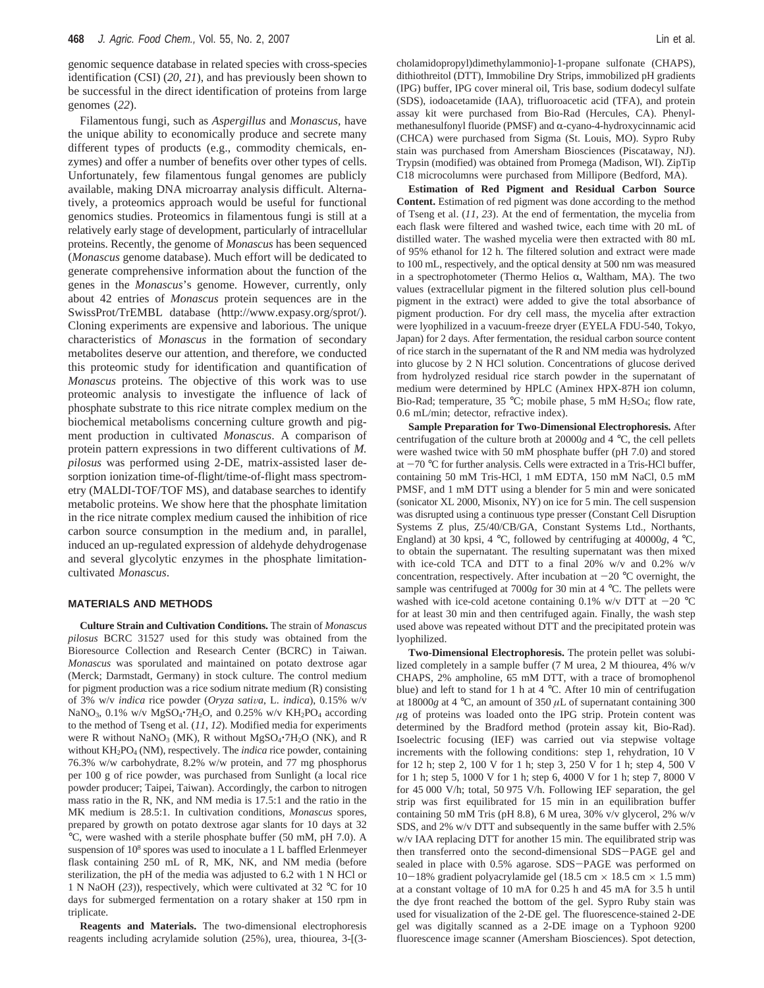genomic sequence database in related species with cross-species identification (CSI) (*20*, *21*), and has previously been shown to be successful in the direct identification of proteins from large genomes (*22*).

Filamentous fungi, such as *Aspergillus* and *Monascus,* have the unique ability to economically produce and secrete many different types of products (e.g., commodity chemicals, enzymes) and offer a number of benefits over other types of cells. Unfortunately, few filamentous fungal genomes are publicly available, making DNA microarray analysis difficult. Alternatively, a proteomics approach would be useful for functional genomics studies. Proteomics in filamentous fungi is still at a relatively early stage of development, particularly of intracellular proteins. Recently, the genome of *Monascus* has been sequenced (*Monascus* genome database). Much effort will be dedicated to generate comprehensive information about the function of the genes in the *Monascus*'s genome. However, currently, only about 42 entries of *Monascus* protein sequences are in the SwissProt/TrEMBL database (http://www.expasy.org/sprot/). Cloning experiments are expensive and laborious. The unique characteristics of *Monascus* in the formation of secondary metabolites deserve our attention, and therefore, we conducted this proteomic study for identification and quantification of *Monascus* proteins. The objective of this work was to use proteomic analysis to investigate the influence of lack of phosphate substrate to this rice nitrate complex medium on the biochemical metabolisms concerning culture growth and pigment production in cultivated *Monascus*. A comparison of protein pattern expressions in two different cultivations of *M. pilosus* was performed using 2-DE, matrix-assisted laser desorption ionization time-of-flight/time-of-flight mass spectrometry (MALDI-TOF/TOF MS), and database searches to identify metabolic proteins. We show here that the phosphate limitation in the rice nitrate complex medium caused the inhibition of rice carbon source consumption in the medium and, in parallel, induced an up-regulated expression of aldehyde dehydrogenase and several glycolytic enzymes in the phosphate limitationcultivated *Monascus*.

#### **MATERIALS AND METHODS**

**Culture Strain and Cultivation Conditions.** The strain of *Monascus pilosus* BCRC 31527 used for this study was obtained from the Bioresource Collection and Research Center (BCRC) in Taiwan. *Monascus* was sporulated and maintained on potato dextrose agar (Merck; Darmstadt, Germany) in stock culture. The control medium for pigment production was a rice sodium nitrate medium (R) consisting of 3% w/v *indica* rice powder (Oryza sativa, L. indica), 0.15% w/v NaNO<sub>3</sub>, 0.1% w/v MgSO<sub>4</sub>·7H<sub>2</sub>O, and 0.25% w/v KH<sub>2</sub>PO<sub>4</sub> according to the method of Tseng et al. (*11*, *12*). Modified media for experiments were R without NaNO<sub>3</sub> (MK), R without  $MgSO<sub>4</sub>·7H<sub>2</sub>O$  (NK), and R without KH<sub>2</sub>PO<sub>4</sub> (NM), respectively. The *indica* rice powder, containing 76.3% w/w carbohydrate, 8.2% w/w protein, and 77 mg phosphorus per 100 g of rice powder, was purchased from Sunlight (a local rice powder producer; Taipei, Taiwan). Accordingly, the carbon to nitrogen mass ratio in the R, NK, and NM media is 17.5:1 and the ratio in the MK medium is 28.5:1. In cultivation conditions, *Monascus* spores, prepared by growth on potato dextrose agar slants for 10 days at 32 °C, were washed with a sterile phosphate buffer (50 mM, pH 7.0). A suspension of  $10^8$  spores was used to inoculate a 1 L baffled Erlenmeyer flask containing 250 mL of R, MK, NK, and NM media (before sterilization, the pH of the media was adjusted to 6.2 with 1 N HCl or 1 N NaOH (*23*)), respectively, which were cultivated at 32 °C for 10 days for submerged fermentation on a rotary shaker at 150 rpm in triplicate.

**Reagents and Materials.** The two-dimensional electrophoresis reagents including acrylamide solution (25%), urea, thiourea, 3-[(3cholamidopropyl)dimethylammonio]-1-propane sulfonate (CHAPS), dithiothreitol (DTT), Immobiline Dry Strips, immobilized pH gradients (IPG) buffer, IPG cover mineral oil, Tris base, sodium dodecyl sulfate (SDS), iodoacetamide (IAA), trifluoroacetic acid (TFA), and protein assay kit were purchased from Bio-Rad (Hercules, CA). Phenylmethanesulfonyl fluoride (PMSF) and  $\alpha$ -cyano-4-hydroxycinnamic acid (CHCA) were purchased from Sigma (St. Louis, MO). Sypro Ruby stain was purchased from Amersham Biosciences (Piscataway, NJ). Trypsin (modified) was obtained from Promega (Madison, WI). ZipTip C18 microcolumns were purchased from Millipore (Bedford, MA).

**Estimation of Red Pigment and Residual Carbon Source Content.** Estimation of red pigment was done according to the method of Tseng et al. (*11*, *23*). At the end of fermentation, the mycelia from each flask were filtered and washed twice, each time with 20 mL of distilled water. The washed mycelia were then extracted with 80 mL of 95% ethanol for 12 h. The filtered solution and extract were made to 100 mL, respectively, and the optical density at 500 nm was measured in a spectrophotometer (Thermo Helios  $\alpha$ , Waltham, MA). The two values (extracellular pigment in the filtered solution plus cell-bound pigment in the extract) were added to give the total absorbance of pigment production. For dry cell mass, the mycelia after extraction were lyophilized in a vacuum-freeze dryer (EYELA FDU-540, Tokyo, Japan) for 2 days. After fermentation, the residual carbon source content of rice starch in the supernatant of the R and NM media was hydrolyzed into glucose by 2 N HCl solution. Concentrations of glucose derived from hydrolyzed residual rice starch powder in the supernatant of medium were determined by HPLC (Aminex HPX-87H ion column, Bio-Rad; temperature, 35 °C; mobile phase, 5 mM H<sub>2</sub>SO<sub>4</sub>; flow rate, 0.6 mL/min; detector, refractive index).

**Sample Preparation for Two-Dimensional Electrophoresis.** After centrifugation of the culture broth at 20000*g* and 4 °C, the cell pellets were washed twice with 50 mM phosphate buffer (pH 7.0) and stored at  $-70$  °C for further analysis. Cells were extracted in a Tris-HCl buffer, containing 50 mM Tris-HCl, 1 mM EDTA, 150 mM NaCl, 0.5 mM PMSF, and 1 mM DTT using a blender for 5 min and were sonicated (sonicator XL 2000, Misonix, NY) on ice for 5 min. The cell suspension was disrupted using a continuous type presser (Constant Cell Disruption Systems Z plus, Z5/40/CB/GA, Constant Systems Ltd., Northants, England) at 30 kpsi, 4 °C, followed by centrifuging at 40000*g*, 4 °C, to obtain the supernatant. The resulting supernatant was then mixed with ice-cold TCA and DTT to a final 20% w/v and 0.2% w/v concentration, respectively. After incubation at  $-20$  °C overnight, the sample was centrifuged at 7000*g* for 30 min at 4 °C. The pellets were washed with ice-cold acetone containing 0.1% w/v DTT at  $-20$  °C for at least 30 min and then centrifuged again. Finally, the wash step used above was repeated without DTT and the precipitated protein was lyophilized.

**Two-Dimensional Electrophoresis.** The protein pellet was solubilized completely in a sample buffer (7 M urea, 2 M thiourea, 4% w/v CHAPS, 2% ampholine, 65 mM DTT, with a trace of bromophenol blue) and left to stand for 1 h at 4 °C. After 10 min of centrifugation at 18000*g* at 4 °C, an amount of 350 *µ*L of supernatant containing 300  $\mu$ g of proteins was loaded onto the IPG strip. Protein content was determined by the Bradford method (protein assay kit, Bio-Rad). Isoelectric focusing (IEF) was carried out via stepwise voltage increments with the following conditions: step 1, rehydration, 10 V for 12 h; step 2, 100 V for 1 h; step 3, 250 V for 1 h; step 4, 500 V for 1 h; step 5, 1000 V for 1 h; step 6, 4000 V for 1 h; step 7, 8000 V for 45 000 V/h; total, 50 975 V/h. Following IEF separation, the gel strip was first equilibrated for 15 min in an equilibration buffer containing 50 mM Tris (pH 8.8), 6 M urea, 30% v/v glycerol, 2% w/v SDS, and 2% w/v DTT and subsequently in the same buffer with 2.5% w/v IAA replacing DTT for another 15 min. The equilibrated strip was then transferred onto the second-dimensional SDS-PAGE gel and sealed in place with 0.5% agarose. SDS-PAGE was performed on  $10-18\%$  gradient polyacrylamide gel (18.5 cm  $\times$  18.5 cm  $\times$  1.5 mm) at a constant voltage of 10 mA for 0.25 h and 45 mA for 3.5 h until the dye front reached the bottom of the gel. Sypro Ruby stain was used for visualization of the 2-DE gel. The fluorescence-stained 2-DE gel was digitally scanned as a 2-DE image on a Typhoon 9200 fluorescence image scanner (Amersham Biosciences). Spot detection,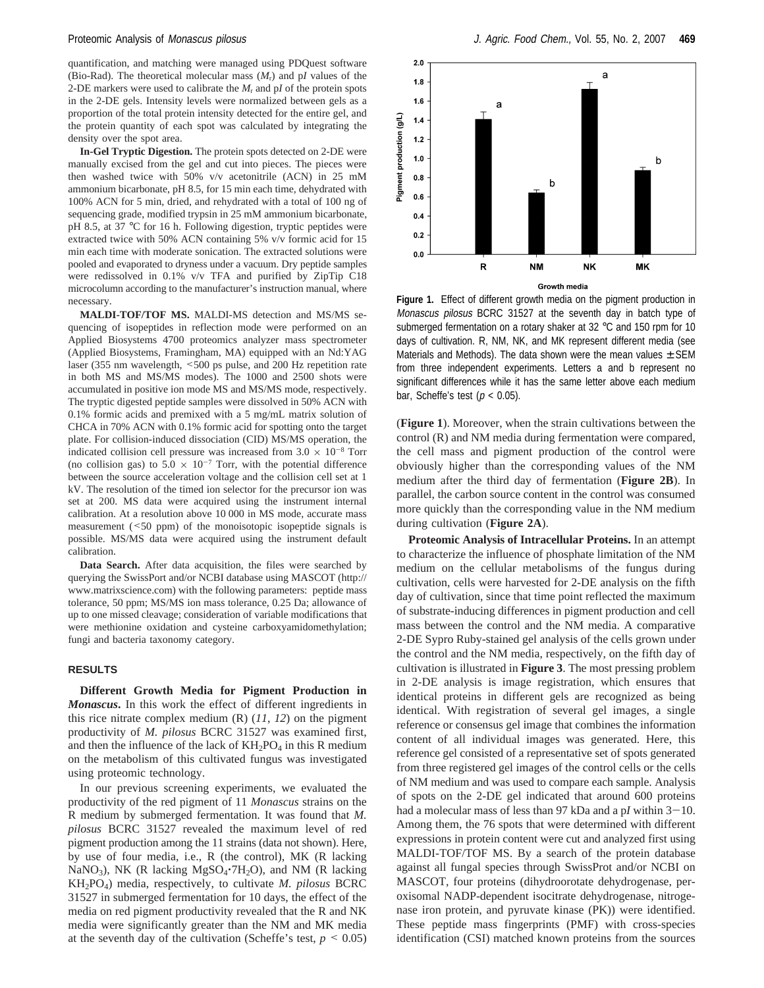quantification, and matching were managed using PDQuest software (Bio-Rad). The theoretical molecular mass  $(M_r)$  and p*I* values of the 2-DE markers were used to calibrate the  $M_r$  and  $pI$  of the protein spots in the 2-DE gels. Intensity levels were normalized between gels as a proportion of the total protein intensity detected for the entire gel, and the protein quantity of each spot was calculated by integrating the density over the spot area.

**In-Gel Tryptic Digestion.** The protein spots detected on 2-DE were manually excised from the gel and cut into pieces. The pieces were then washed twice with 50% v/v acetonitrile (ACN) in 25 mM ammonium bicarbonate, pH 8.5, for 15 min each time, dehydrated with 100% ACN for 5 min, dried, and rehydrated with a total of 100 ng of sequencing grade, modified trypsin in 25 mM ammonium bicarbonate, pH 8.5, at 37 °C for 16 h. Following digestion, tryptic peptides were extracted twice with 50% ACN containing 5% v/v formic acid for 15 min each time with moderate sonication. The extracted solutions were pooled and evaporated to dryness under a vacuum. Dry peptide samples were redissolved in 0.1% v/v TFA and purified by ZipTip C18 microcolumn according to the manufacturer's instruction manual, where necessary.

**MALDI-TOF/TOF MS.** MALDI-MS detection and MS/MS sequencing of isopeptides in reflection mode were performed on an Applied Biosystems 4700 proteomics analyzer mass spectrometer (Applied Biosystems, Framingham, MA) equipped with an Nd:YAG laser (355 nm wavelength, <500 ps pulse, and 200 Hz repetition rate in both MS and MS/MS modes). The 1000 and 2500 shots were accumulated in positive ion mode MS and MS/MS mode, respectively. The tryptic digested peptide samples were dissolved in 50% ACN with 0.1% formic acids and premixed with a 5 mg/mL matrix solution of CHCA in 70% ACN with 0.1% formic acid for spotting onto the target plate. For collision-induced dissociation (CID) MS/MS operation, the indicated collision cell pressure was increased from  $3.0 \times 10^{-8}$  Torr (no collision gas) to  $5.0 \times 10^{-7}$  Torr, with the potential difference between the source acceleration voltage and the collision cell set at 1 kV. The resolution of the timed ion selector for the precursor ion was set at 200. MS data were acquired using the instrument internal calibration. At a resolution above 10 000 in MS mode, accurate mass measurement (<50 ppm) of the monoisotopic isopeptide signals is possible. MS/MS data were acquired using the instrument default calibration.

**Data Search.** After data acquisition, the files were searched by querying the SwissPort and/or NCBI database using MASCOT (http:// www.matrixscience.com) with the following parameters: peptide mass tolerance, 50 ppm; MS/MS ion mass tolerance, 0.25 Da; allowance of up to one missed cleavage; consideration of variable modifications that were methionine oxidation and cysteine carboxyamidomethylation; fungi and bacteria taxonomy category.

#### **RESULTS**

**Different Growth Media for Pigment Production in** *Monascus***.** In this work the effect of different ingredients in this rice nitrate complex medium (R) (*11*, *12*) on the pigment productivity of *M. pilosus* BCRC 31527 was examined first, and then the influence of the lack of  $KH_2PO_4$  in this R medium on the metabolism of this cultivated fungus was investigated using proteomic technology.

In our previous screening experiments, we evaluated the productivity of the red pigment of 11 *Monascus* strains on the R medium by submerged fermentation. It was found that *M. pilosus* BCRC 31527 revealed the maximum level of red pigment production among the 11 strains (data not shown). Here, by use of four media, i.e., R (the control), MK (R lacking NaNO<sub>3</sub>), NK (R lacking MgSO<sub>4</sub>·7H<sub>2</sub>O), and NM (R lacking KH2PO4) media, respectively, to cultivate *M. pilosus* BCRC 31527 in submerged fermentation for 10 days, the effect of the media on red pigment productivity revealed that the R and NK media were significantly greater than the NM and MK media at the seventh day of the cultivation (Scheffe's test,  $p \leq 0.05$ )



**Figure 1.** Effect of different growth media on the pigment production in Monascus pilosus BCRC 31527 at the seventh day in batch type of submerged fermentation on a rotary shaker at 32 °C and 150 rpm for 10 days of cultivation. R, NM, NK, and MK represent different media (see Materials and Methods). The data shown were the mean values  $\pm$  SEM from three independent experiments. Letters a and b represent no significant differences while it has the same letter above each medium bar, Scheffe's test ( $p < 0.05$ ).

(**Figure 1**). Moreover, when the strain cultivations between the control (R) and NM media during fermentation were compared, the cell mass and pigment production of the control were obviously higher than the corresponding values of the NM medium after the third day of fermentation (**Figure 2B**). In parallel, the carbon source content in the control was consumed more quickly than the corresponding value in the NM medium during cultivation (**Figure 2A**).

**Proteomic Analysis of Intracellular Proteins.** In an attempt to characterize the influence of phosphate limitation of the NM medium on the cellular metabolisms of the fungus during cultivation, cells were harvested for 2-DE analysis on the fifth day of cultivation, since that time point reflected the maximum of substrate-inducing differences in pigment production and cell mass between the control and the NM media. A comparative 2-DE Sypro Ruby-stained gel analysis of the cells grown under the control and the NM media, respectively, on the fifth day of cultivation is illustrated in **Figure 3**. The most pressing problem in 2-DE analysis is image registration, which ensures that identical proteins in different gels are recognized as being identical. With registration of several gel images, a single reference or consensus gel image that combines the information content of all individual images was generated. Here, this reference gel consisted of a representative set of spots generated from three registered gel images of the control cells or the cells of NM medium and was used to compare each sample. Analysis of spots on the 2-DE gel indicated that around 600 proteins had a molecular mass of less than 97 kDa and a p*I* within  $3-10$ . Among them, the 76 spots that were determined with different expressions in protein content were cut and analyzed first using MALDI-TOF/TOF MS. By a search of the protein database against all fungal species through SwissProt and/or NCBI on MASCOT, four proteins (dihydroorotate dehydrogenase, peroxisomal NADP-dependent isocitrate dehydrogenase, nitrogenase iron protein, and pyruvate kinase (PK)) were identified. These peptide mass fingerprints (PMF) with cross-species identification (CSI) matched known proteins from the sources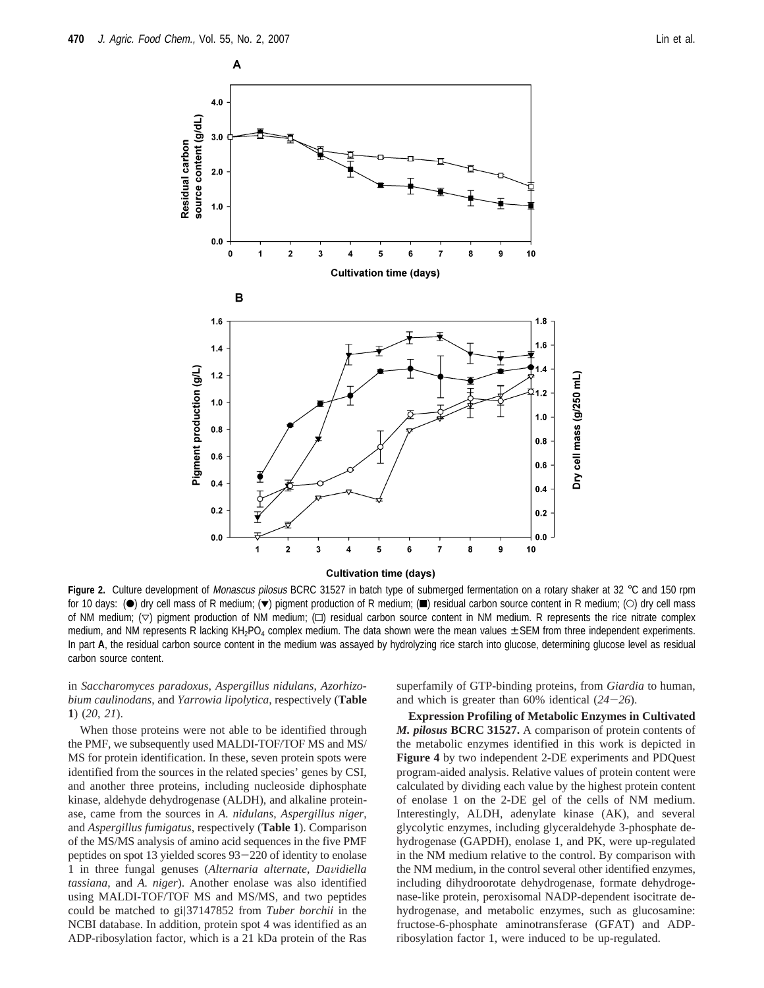

Figure 2. Culture development of Monascus pilosus BCRC 31527 in batch type of submerged fermentation on a rotary shaker at 32 °C and 150 rpm for 10 days: (•) dry cell mass of R medium; (•) pigment production of R medium; (■) residual carbon source content in R medium; (○) dry cell mass of NM medium;  $(\nabla)$  pigment production of NM medium;  $(\nabla)$  residual carbon source content in NM medium. R represents the rice nitrate complex medium, and NM represents R lacking KH<sub>2</sub>PO<sub>4</sub> complex medium. The data shown were the mean values  $\pm$  SEM from three independent experiments. In part **A**, the residual carbon source content in the medium was assayed by hydrolyzing rice starch into glucose, determining glucose level as residual carbon source content.

in *Saccharomyces paradoxus, Aspergillus nidulans*, *Azorhizobium caulinodans*, and *Yarrowia lipolytica*, respectively (**Table 1**) (*20*, *21*).

When those proteins were not able to be identified through the PMF, we subsequently used MALDI-TOF/TOF MS and MS/ MS for protein identification. In these, seven protein spots were identified from the sources in the related species' genes by CSI, and another three proteins, including nucleoside diphosphate kinase, aldehyde dehydrogenase (ALDH), and alkaline proteinase, came from the sources in *A. nidulans*, *Aspergillus niger*, and *Aspergillus fumigatus*, respectively (**Table 1**). Comparison of the MS/MS analysis of amino acid sequences in the five PMF peptides on spot 13 yielded scores 93-220 of identity to enolase 1 in three fungal genuses (*Alternaria alternate*, *Da*V*idiella tassiana*, and *A. niger*). Another enolase was also identified using MALDI-TOF/TOF MS and MS/MS, and two peptides could be matched to gi|37147852 from *Tuber borchii* in the NCBI database. In addition, protein spot 4 was identified as an ADP-ribosylation factor, which is a 21 kDa protein of the Ras superfamily of GTP-binding proteins, from *Giardia* to human, and which is greater than 60% identical (*24*-*26*).

**Expression Profiling of Metabolic Enzymes in Cultivated** *M. pilosus* **BCRC 31527.** A comparison of protein contents of the metabolic enzymes identified in this work is depicted in **Figure 4** by two independent 2-DE experiments and PDQuest program-aided analysis. Relative values of protein content were calculated by dividing each value by the highest protein content of enolase 1 on the 2-DE gel of the cells of NM medium. Interestingly, ALDH, adenylate kinase (AK), and several glycolytic enzymes, including glyceraldehyde 3-phosphate dehydrogenase (GAPDH), enolase 1, and PK, were up-regulated in the NM medium relative to the control. By comparison with the NM medium, in the control several other identified enzymes, including dihydroorotate dehydrogenase, formate dehydrogenase-like protein, peroxisomal NADP-dependent isocitrate dehydrogenase, and metabolic enzymes, such as glucosamine: fructose-6-phosphate aminotransferase (GFAT) and ADPribosylation factor 1, were induced to be up-regulated.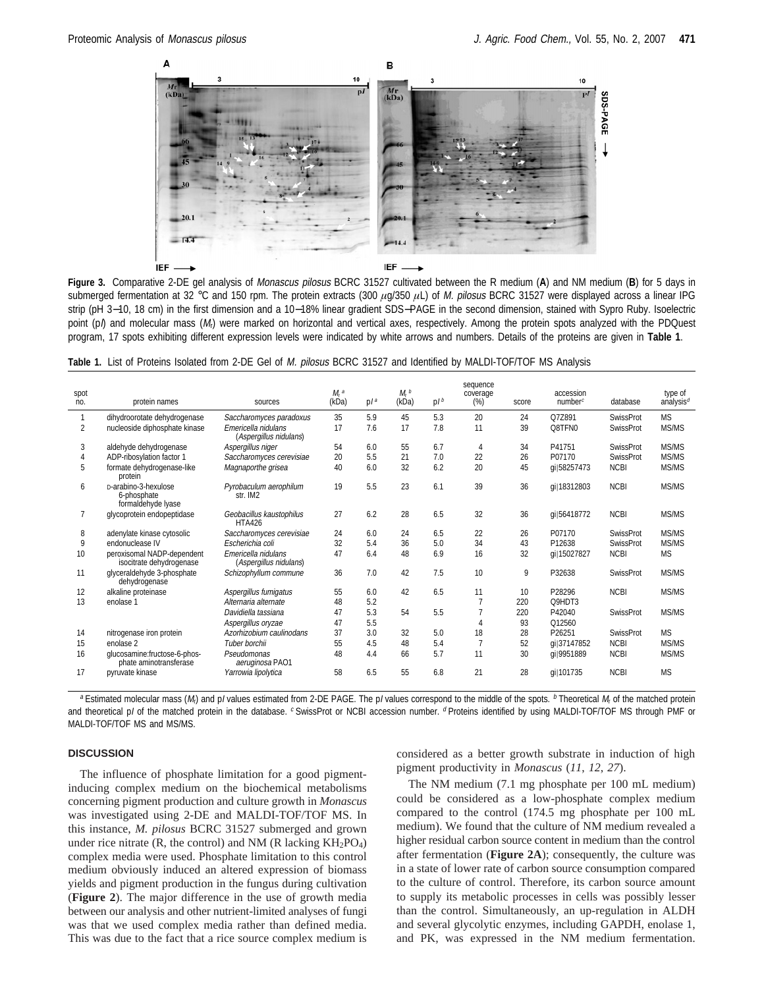

**Figure 3.** Comparative 2-DE gel analysis of Monascus pilosus BCRC 31527 cultivated between the R medium (**A**) and NM medium (**B**) for 5 days in submerged fermentation at 32 °C and 150 rpm. The protein extracts (300 *µ*g/350 *µ*L) of M. pilosus BCRC 31527 were displayed across a linear IPG strip (pH 3–10, 18 cm) in the first dimension and a 10–18% linear gradient SDS–PAGE in the second dimension, stained with Sypro Ruby. Isoelectric point ( $p$ ) and molecular mass ( $M<sub>1</sub>$ ) were marked on horizontal and vertical axes, respectively. Among the protein spots analyzed with the PDQuest program, 17 spots exhibiting different expression levels were indicated by white arrows and numbers. Details of the proteins are given in **Table 1**.

**Table 1.** List of Proteins Isolated from 2-DE Gel of M. pilosus BCRC 31527 and Identified by MALDI-TOF/TOF MS Analysis

| spot<br>no.    | protein names                                             | sources                                        | $Mr$ a<br>(kDa) | p / a | M <sub>r</sub> b<br>(kDa) | p / b | sequence<br>coverage<br>(%) | score | accession<br>numberc | database         | type of<br>analysis <sup>d</sup> |
|----------------|-----------------------------------------------------------|------------------------------------------------|-----------------|-------|---------------------------|-------|-----------------------------|-------|----------------------|------------------|----------------------------------|
| 1              | dihydroorotate dehydrogenase                              | Saccharomyces paradoxus                        | 35              | 5.9   | 45                        | 5.3   | 20                          | 24    | Q7Z891               | <b>SwissProt</b> | <b>MS</b>                        |
| 2              | nucleoside diphosphate kinase                             | Emericella nidulans<br>(Aspergillus nidulans)  | 17              | 7.6   | 17                        | 7.8   | 11                          | 39    | Q8TFN0               | <b>SwissProt</b> | MS/MS                            |
| 3              | aldehyde dehydrogenase                                    | Aspergillus niger                              | 54              | 6.0   | 55                        | 6.7   | 4                           | 34    | P41751               | <b>SwissProt</b> | MS/MS                            |
| 4              | ADP-ribosylation factor 1                                 | Saccharomyces cerevisiae                       | 20              | 5.5   | 21                        | 7.0   | 22                          | 26    | P07170               | <b>SwissProt</b> | MS/MS                            |
| 5              | formate dehydrogenase-like<br>protein                     | Magnaporthe grisea                             | 40              | 6.0   | 32                        | 6.2   | 20                          | 45    | gil58257473          | <b>NCBI</b>      | MS/MS                            |
| 6              | D-arabino-3-hexulose<br>6-phosphate<br>formaldehyde lyase | Pyrobaculum aerophilum<br>str. IM <sub>2</sub> | 19              | 5.5   | 23                        | 6.1   | 39                          | 36    | ail18312803          | <b>NCBI</b>      | MS/MS                            |
| $\overline{7}$ | glycoprotein endopeptidase                                | Geobacillus kaustophilus<br><b>HTA426</b>      | 27              | 6.2   | 28                        | 6.5   | 32                          | 36    | gi 56418772          | <b>NCBI</b>      | MS/MS                            |
| 8              | adenylate kinase cytosolic                                | Saccharomyces cerevisiae                       | 24              | 6.0   | 24                        | 6.5   | 22                          | 26    | P07170               | <b>SwissProt</b> | MS/MS                            |
| 9              | endonuclease IV                                           | Escherichia coli                               | 32              | 5.4   | 36                        | 5.0   | 34                          | 43    | P12638               | <b>SwissProt</b> | MS/MS                            |
| 10             | peroxisomal NADP-dependent<br>isocitrate dehydrogenase    | Emericella nidulans<br>(Aspergillus nidulans)  | 47              | 6.4   | 48                        | 6.9   | 16                          | 32    | gi 15027827          | <b>NCBI</b>      | <b>MS</b>                        |
| 11             | glyceraldehyde 3-phosphate<br>dehydrogenase               | Schizophyllum commune                          | 36              | 7.0   | 42                        | 7.5   | 10                          | 9     | P32638               | <b>SwissProt</b> | MS/MS                            |
| 12             | alkaline proteinase                                       | Aspergillus fumigatus                          | 55              | 6.0   | 42                        | 6.5   | 11                          | 10    | P28296               | <b>NCBI</b>      | MS/MS                            |
| 13             | enolase 1                                                 | Alternaria alternate                           | 48              | 5.2   |                           |       |                             | 220   | Q9HDT3               |                  |                                  |
|                |                                                           | Davidiella tassiana                            | 47              | 5.3   | 54                        | 5.5   |                             | 220   | P42040               | <b>SwissProt</b> | MS/MS                            |
|                |                                                           | Aspergillus oryzae                             | 47              | 5.5   |                           |       | 4                           | 93    | Q12560               |                  |                                  |
| 14             | nitrogenase iron protein                                  | Azorhizobium caulinodans                       | 37              | 3.0   | 32                        | 5.0   | 18                          | 28    | P26251               | <b>SwissProt</b> | <b>MS</b>                        |
| 15             | enolase 2                                                 | Tuber borchii                                  | 55              | 4.5   | 48                        | 5.4   |                             | 52    | gil37147852          | <b>NCBI</b>      | MS/MS                            |
| 16             | qlucosamine:fructose-6-phos-<br>phate aminotransferase    | Pseudomonas<br>aeruginosa PAO1                 | 48              | 4.4   | 66                        | 5.7   | 11                          | 30    | gi 9951889           | <b>NCBI</b>      | MS/MS                            |
| 17             | pyruvate kinase                                           | Yarrowia lipolytica                            | 58              | 6.5   | 55                        | 6.8   | 21                          | 28    | qi 101735            | <b>NCBI</b>      | <b>MS</b>                        |

<sup>a</sup> Estimated molecular mass (M<sub>t</sub>) and p/ values estimated from 2-DE PAGE. The p/ values correspond to the middle of the spots.  $<sup>b</sup>$  Theoretical M<sub>r</sub> of the matched protein</sup> and theoretical pl of the matched protein in the database. C SwissProt or NCBI accession number. <sup>d</sup> Proteins identified by using MALDI-TOF/TOF MS through PMF or MALDI-TOF/TOF MS and MS/MS.

#### **DISCUSSION**

The influence of phosphate limitation for a good pigmentinducing complex medium on the biochemical metabolisms concerning pigment production and culture growth in *Monascus* was investigated using 2-DE and MALDI-TOF/TOF MS. In this instance, *M. pilosus* BCRC 31527 submerged and grown under rice nitrate  $(R,$  the control) and NM  $(R \text{ lacking KH}_2PO_4)$ complex media were used. Phosphate limitation to this control medium obviously induced an altered expression of biomass yields and pigment production in the fungus during cultivation (**Figure 2**). The major difference in the use of growth media between our analysis and other nutrient-limited analyses of fungi was that we used complex media rather than defined media. This was due to the fact that a rice source complex medium is

considered as a better growth substrate in induction of high pigment productivity in *Monascus* (*11*, *12*, *27*).

The NM medium (7.1 mg phosphate per 100 mL medium) could be considered as a low-phosphate complex medium compared to the control (174.5 mg phosphate per 100 mL medium). We found that the culture of NM medium revealed a higher residual carbon source content in medium than the control after fermentation (**Figure 2A**); consequently, the culture was in a state of lower rate of carbon source consumption compared to the culture of control. Therefore, its carbon source amount to supply its metabolic processes in cells was possibly lesser than the control. Simultaneously, an up-regulation in ALDH and several glycolytic enzymes, including GAPDH, enolase 1, and PK, was expressed in the NM medium fermentation.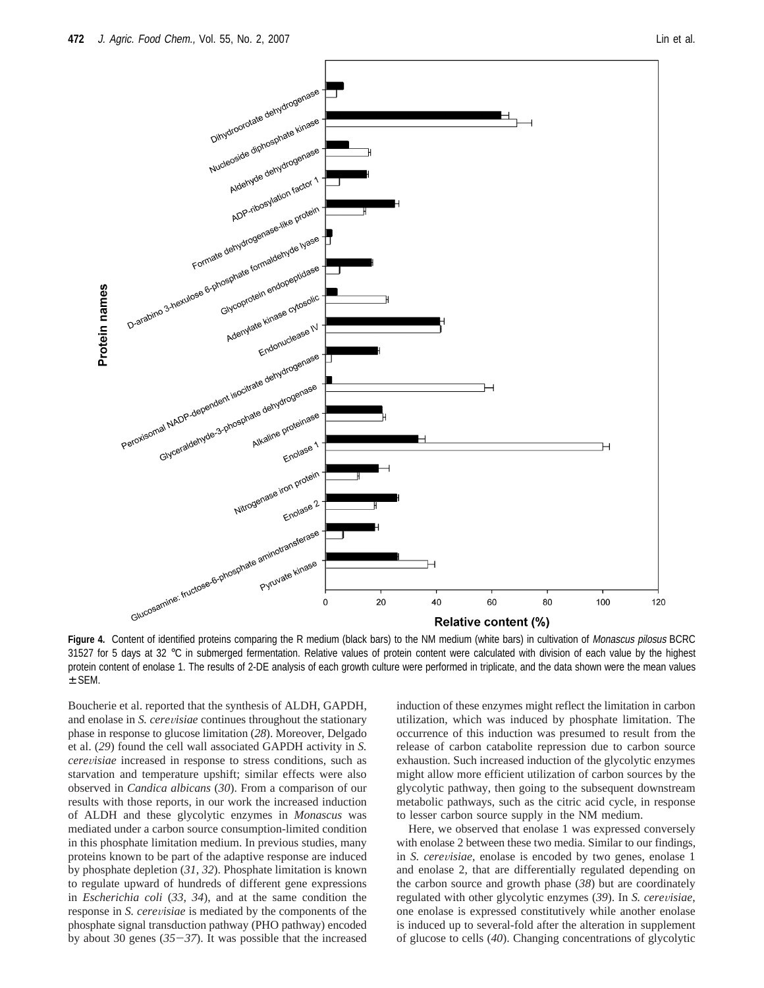

**Figure 4.** Content of identified proteins comparing the R medium (black bars) to the NM medium (white bars) in cultivation of Monascus pilosus BCRC 31527 for 5 days at 32 °C in submerged fermentation. Relative values of protein content were calculated with division of each value by the highest protein content of enolase 1. The results of 2-DE analysis of each growth culture were performed in triplicate, and the data shown were the mean values ± SEM.

Boucherie et al. reported that the synthesis of ALDH, GAPDH, and enolase in *S. cerevisiae* continues throughout the stationary phase in response to glucose limitation (*28*). Moreover, Delgado et al. (*29*) found the cell wall associated GAPDH activity in *S. cere*V*isiae* increased in response to stress conditions, such as starvation and temperature upshift; similar effects were also observed in *Candica albicans* (*30*). From a comparison of our results with those reports, in our work the increased induction of ALDH and these glycolytic enzymes in *Monascus* was mediated under a carbon source consumption-limited condition in this phosphate limitation medium. In previous studies, many proteins known to be part of the adaptive response are induced by phosphate depletion (*31*, *32*). Phosphate limitation is known to regulate upward of hundreds of different gene expressions in *Escherichia coli* (*33*, *34*), and at the same condition the response in *S. cerevisiae* is mediated by the components of the phosphate signal transduction pathway (PHO pathway) encoded by about 30 genes (*35*-*37*). It was possible that the increased induction of these enzymes might reflect the limitation in carbon utilization, which was induced by phosphate limitation. The occurrence of this induction was presumed to result from the release of carbon catabolite repression due to carbon source exhaustion. Such increased induction of the glycolytic enzymes might allow more efficient utilization of carbon sources by the glycolytic pathway, then going to the subsequent downstream metabolic pathways, such as the citric acid cycle, in response to lesser carbon source supply in the NM medium.

Here, we observed that enolase 1 was expressed conversely with enolase 2 between these two media. Similar to our findings, in *S. cerevisiae*, enolase is encoded by two genes, enolase 1 and enolase 2, that are differentially regulated depending on the carbon source and growth phase (*38*) but are coordinately regulated with other glycolytic enzymes (39). In *S. cerevisiae*, one enolase is expressed constitutively while another enolase is induced up to several-fold after the alteration in supplement of glucose to cells (*40*). Changing concentrations of glycolytic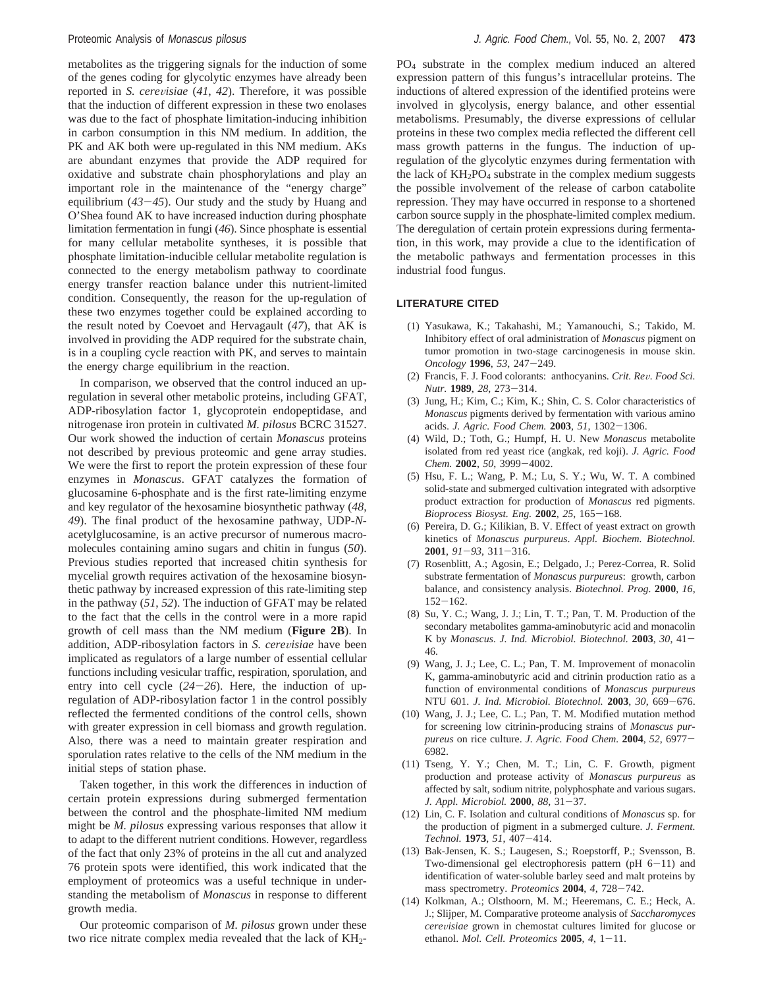metabolites as the triggering signals for the induction of some of the genes coding for glycolytic enzymes have already been reported in *S. cerevisiae* (41, 42). Therefore, it was possible that the induction of different expression in these two enolases was due to the fact of phosphate limitation-inducing inhibition in carbon consumption in this NM medium. In addition, the PK and AK both were up-regulated in this NM medium. AKs are abundant enzymes that provide the ADP required for oxidative and substrate chain phosphorylations and play an important role in the maintenance of the "energy charge" equilibrium (*43*-*45*). Our study and the study by Huang and O'Shea found AK to have increased induction during phosphate limitation fermentation in fungi (*46*). Since phosphate is essential for many cellular metabolite syntheses, it is possible that phosphate limitation-inducible cellular metabolite regulation is connected to the energy metabolism pathway to coordinate energy transfer reaction balance under this nutrient-limited condition. Consequently, the reason for the up-regulation of these two enzymes together could be explained according to the result noted by Coevoet and Hervagault (*47*), that AK is involved in providing the ADP required for the substrate chain, is in a coupling cycle reaction with PK, and serves to maintain the energy charge equilibrium in the reaction.

In comparison, we observed that the control induced an upregulation in several other metabolic proteins, including GFAT, ADP-ribosylation factor 1, glycoprotein endopeptidase, and nitrogenase iron protein in cultivated *M. pilosus* BCRC 31527. Our work showed the induction of certain *Monascus* proteins not described by previous proteomic and gene array studies. We were the first to report the protein expression of these four enzymes in *Monascus*. GFAT catalyzes the formation of glucosamine 6-phosphate and is the first rate-limiting enzyme and key regulator of the hexosamine biosynthetic pathway (*48*, *49*). The final product of the hexosamine pathway, UDP-*N*acetylglucosamine, is an active precursor of numerous macromolecules containing amino sugars and chitin in fungus (*50*). Previous studies reported that increased chitin synthesis for mycelial growth requires activation of the hexosamine biosynthetic pathway by increased expression of this rate-limiting step in the pathway (*51*, *52*). The induction of GFAT may be related to the fact that the cells in the control were in a more rapid growth of cell mass than the NM medium (**Figure 2B**). In addition, ADP-ribosylation factors in *S. cerevisiae* have been implicated as regulators of a large number of essential cellular functions including vesicular traffic, respiration, sporulation, and entry into cell cycle (*24*-*26*). Here, the induction of upregulation of ADP-ribosylation factor 1 in the control possibly reflected the fermented conditions of the control cells, shown with greater expression in cell biomass and growth regulation. Also, there was a need to maintain greater respiration and sporulation rates relative to the cells of the NM medium in the initial steps of station phase.

Taken together, in this work the differences in induction of certain protein expressions during submerged fermentation between the control and the phosphate-limited NM medium might be *M. pilosus* expressing various responses that allow it to adapt to the different nutrient conditions. However, regardless of the fact that only 23% of proteins in the all cut and analyzed 76 protein spots were identified, this work indicated that the employment of proteomics was a useful technique in understanding the metabolism of *Monascus* in response to different growth media.

Our proteomic comparison of *M. pilosus* grown under these two rice nitrate complex media revealed that the lack of KH<sub>2</sub>-

PO4 substrate in the complex medium induced an altered expression pattern of this fungus's intracellular proteins. The inductions of altered expression of the identified proteins were involved in glycolysis, energy balance, and other essential metabolisms. Presumably, the diverse expressions of cellular proteins in these two complex media reflected the different cell mass growth patterns in the fungus. The induction of upregulation of the glycolytic enzymes during fermentation with the lack of  $KH_2PO_4$  substrate in the complex medium suggests the possible involvement of the release of carbon catabolite repression. They may have occurred in response to a shortened carbon source supply in the phosphate-limited complex medium. The deregulation of certain protein expressions during fermentation, in this work, may provide a clue to the identification of the metabolic pathways and fermentation processes in this industrial food fungus.

### **LITERATURE CITED**

- (1) Yasukawa, K.; Takahashi, M.; Yamanouchi, S.; Takido, M. Inhibitory effect of oral administration of *Monascus* pigment on tumor promotion in two-stage carcinogenesis in mouse skin. *Oncology* **<sup>1996</sup>**, *<sup>53</sup>*, 247-249.
- (2) Francis, F. J. Food colorants: anthocyanins. *Crit. Re*V*. Food Sci. Nutr.* **<sup>1989</sup>**, *<sup>28</sup>*, 273-314.
- (3) Jung, H.; Kim, C.; Kim, K.; Shin, C. S. Color characteristics of *Monascus* pigments derived by fermentation with various amino acids. *J. Agric. Food Chem.* **<sup>2003</sup>**, *<sup>51</sup>*, 1302-1306.
- (4) Wild, D.; Toth, G.; Humpf, H. U. New *Monascus* metabolite isolated from red yeast rice (angkak, red koji). *J. Agric. Food Chem.* **<sup>2002</sup>**, *<sup>50</sup>*, 3999-4002.
- (5) Hsu, F. L.; Wang, P. M.; Lu, S. Y.; Wu, W. T. A combined solid-state and submerged cultivation integrated with adsorptive product extraction for production of *Monascus* red pigments. *Bioprocess Biosyst. Eng.* **<sup>2002</sup>**, *<sup>25</sup>*, 165-168.
- (6) Pereira, D. G.; Kilikian, B. V. Effect of yeast extract on growth kinetics of *Monascus purpureus*. *Appl. Biochem. Biotechnol.* **<sup>2001</sup>**, *<sup>91</sup>*-*93*, 311-316.
- (7) Rosenblitt, A.; Agosin, E.; Delgado, J.; Perez-Correa, R. Solid substrate fermentation of *Monascus purpureus*: growth, carbon balance, and consistency analysis. *Biotechnol. Prog.* **2000**, *16*, <sup>152</sup>-162.
- (8) Su, Y. C.; Wang, J. J.; Lin, T. T.; Pan, T. M. Production of the secondary metabolites gamma-aminobutyric acid and monacolin K by *Monascus*. *J. Ind. Microbiol. Biotechnol.* **<sup>2003</sup>**, *<sup>30</sup>*, 41- 46.
- (9) Wang, J. J.; Lee, C. L.; Pan, T. M. Improvement of monacolin K, gamma-aminobutyric acid and citrinin production ratio as a function of environmental conditions of *Monascus purpureus* NTU 601. *J. Ind. Microbiol. Biotechnol.* **<sup>2003</sup>**, *<sup>30</sup>*, 669-676.
- (10) Wang, J. J.; Lee, C. L.; Pan, T. M. Modified mutation method for screening low citrinin-producing strains of *Monascus purpureus* on rice culture. *J. Agric. Food Chem.* **<sup>2004</sup>**, *<sup>52</sup>*, 6977- 6982.
- (11) Tseng, Y. Y.; Chen, M. T.; Lin, C. F. Growth, pigment production and protease activity of *Monascus purpureus* as affected by salt, sodium nitrite, polyphosphate and various sugars. *J. Appl. Microbiol.* **<sup>2000</sup>**, *<sup>88</sup>*, 31-37.
- (12) Lin, C. F. Isolation and cultural conditions of *Monascus* sp. for the production of pigment in a submerged culture. *J. Ferment. Technol.* **<sup>1973</sup>**, *<sup>51</sup>*, 407-414.
- (13) Bak-Jensen, K. S.; Laugesen, S.; Roepstorff, P.; Svensson, B. Two-dimensional gel electrophoresis pattern (pH 6-11) and identification of water-soluble barley seed and malt proteins by mass spectrometry. *Proteomics* **<sup>2004</sup>**, *<sup>4</sup>*, 728-742.
- (14) Kolkman, A.; Olsthoorn, M. M.; Heeremans, C. E.; Heck, A. J.; Slijper, M. Comparative proteome analysis of *Saccharomyces cere*V*isiae* grown in chemostat cultures limited for glucose or ethanol. *Mol. Cell. Proteomics* **<sup>2005</sup>**, *<sup>4</sup>*, 1-11.